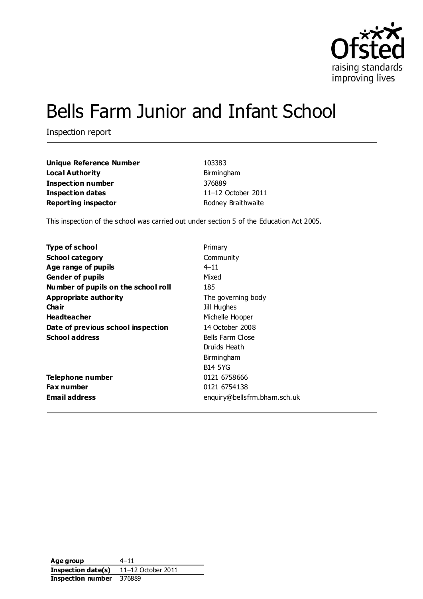

# Bells Farm Junior and Infant School

Inspection report

| Unique Reference Number    | 103383             |
|----------------------------|--------------------|
| Local Authority            | Birmingham         |
| <b>Inspection number</b>   | 376889             |
| Inspection dates           | 11-12 October 2011 |
| <b>Reporting inspector</b> | Rodney Braithwaite |

This inspection of the school was carried out under section 5 of the Education Act 2005.

| Primary                      |
|------------------------------|
| Community                    |
| $4 - 11$                     |
| Mixed                        |
| 185                          |
| The governing body           |
| Jill Hughes                  |
| Michelle Hooper              |
| 14 October 2008              |
| Bells Farm Close             |
| Druids Heath                 |
| Birmingham                   |
| <b>B14 5YG</b>               |
| 0121 6758666                 |
| 0121 6754138                 |
| enquiry@bellsfrm.bham.sch.uk |
|                              |

**Age group** 4–11 **Inspection date(s)** 11–12 October 2011 **Inspection number** 376889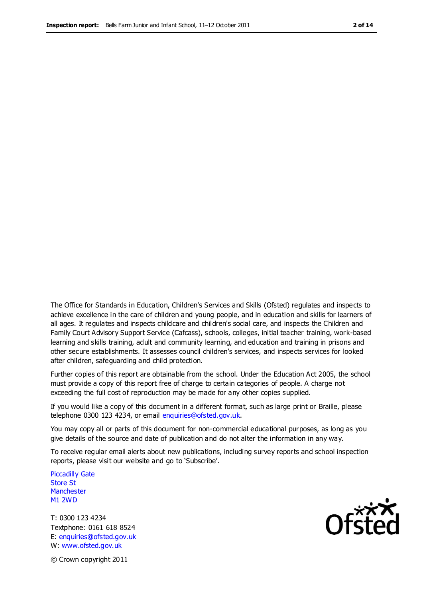The Office for Standards in Education, Children's Services and Skills (Ofsted) regulates and inspects to achieve excellence in the care of children and young people, and in education and skills for learners of all ages. It regulates and inspects childcare and children's social care, and inspects the Children and Family Court Advisory Support Service (Cafcass), schools, colleges, initial teacher training, work-based learning and skills training, adult and community learning, and education and training in prisons and other secure establishments. It assesses council children's services, and inspects services for looked after children, safeguarding and child protection.

Further copies of this report are obtainable from the school. Under the Education Act 2005, the school must provide a copy of this report free of charge to certain categories of people. A charge not exceeding the full cost of reproduction may be made for any other copies supplied.

If you would like a copy of this document in a different format, such as large print or Braille, please telephone 0300 123 4234, or email enquiries@ofsted.gov.uk.

You may copy all or parts of this document for non-commercial educational purposes, as long as you give details of the source and date of publication and do not alter the information in any way.

To receive regular email alerts about new publications, including survey reports and school inspection reports, please visit our website and go to 'Subscribe'.

Piccadilly Gate Store St **Manchester** M1 2WD

T: 0300 123 4234 Textphone: 0161 618 8524 E: enquiries@ofsted.gov.uk W: www.ofsted.gov.uk

Ofsted

© Crown copyright 2011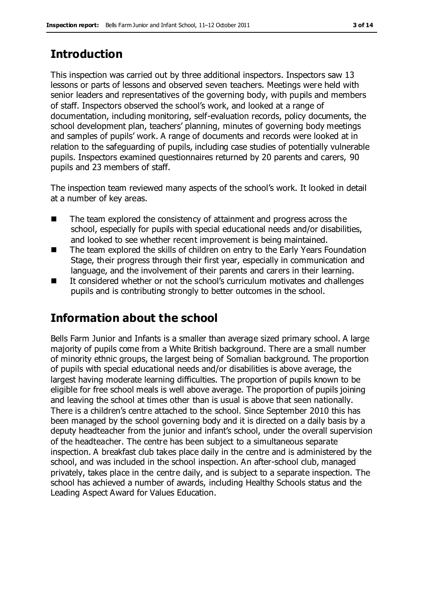# **Introduction**

This inspection was carried out by three additional inspectors. Inspectors saw 13 lessons or parts of lessons and observed seven teachers. Meetings were held with senior leaders and representatives of the governing body, with pupils and members of staff. Inspectors observed the school's work, and looked at a range of documentation, including monitoring, self-evaluation records, policy documents, the school development plan, teachers' planning, minutes of governing body meetings and samples of pupils' work. A range of documents and records were looked at in relation to the safeguarding of pupils, including case studies of potentially vulnerable pupils. Inspectors examined questionnaires returned by 20 parents and carers, 90 pupils and 23 members of staff.

The inspection team reviewed many aspects of the school's work. It looked in detail at a number of key areas.

- $\blacksquare$  The team explored the consistency of attainment and progress across the school, especially for pupils with special educational needs and/or disabilities, and looked to see whether recent improvement is being maintained.
- The team explored the skills of children on entry to the Early Years Foundation Stage, their progress through their first year, especially in communication and language, and the involvement of their parents and carers in their learning.
- It considered whether or not the school's curriculum motivates and challenges pupils and is contributing strongly to better outcomes in the school.

# **Information about the school**

Bells Farm Junior and Infants is a smaller than average sized primary school. A large majority of pupils come from a White British background. There are a small number of minority ethnic groups, the largest being of Somalian background. The proportion of pupils with special educational needs and/or disabilities is above average, the largest having moderate learning difficulties. The proportion of pupils known to be eligible for free school meals is well above average. The proportion of pupils joining and leaving the school at times other than is usual is above that seen nationally. There is a children's centre attached to the school. Since September 2010 this has been managed by the school governing body and it is directed on a daily basis by a deputy headteacher from the junior and infant's school, under the overall supervision of the headteacher. The centre has been subject to a simultaneous separate inspection. A breakfast club takes place daily in the centre and is administered by the school, and was included in the school inspection. An after-school club, managed privately, takes place in the centre daily, and is subject to a separate inspection. The school has achieved a number of awards, including Healthy Schools status and the Leading Aspect Award for Values Education.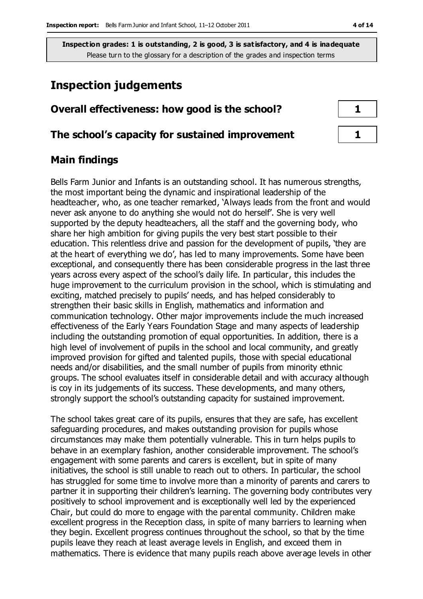# **Inspection judgements**

| Overall effectiveness: how good is the school?  |  |
|-------------------------------------------------|--|
| The school's capacity for sustained improvement |  |

### **Main findings**

Bells Farm Junior and Infants is an outstanding school. It has numerous strengths, the most important being the dynamic and inspirational leadership of the headteacher, who, as one teacher remarked, 'Always leads from the front and would never ask anyone to do anything she would not do herself'. She is very well supported by the deputy headteachers, all the staff and the governing body, who share her high ambition for giving pupils the very best start possible to their education. This relentless drive and passion for the development of pupils, 'they are at the heart of everything we do', has led to many improvements. Some have been exceptional, and consequently there has been considerable progress in the last three years across every aspect of the school's daily life. In particular, this includes the huge improvement to the curriculum provision in the school, which is stimulating and exciting, matched precisely to pupils' needs, and has helped considerably to strengthen their basic skills in English, mathematics and information and communication technology. Other major improvements include the much increased effectiveness of the Early Years Foundation Stage and many aspects of leadership including the outstanding promotion of equal opportunities. In addition, there is a high level of involvement of pupils in the school and local community, and greatly improved provision for gifted and talented pupils, those with special educational needs and/or disabilities, and the small number of pupils from minority ethnic groups. The school evaluates itself in considerable detail and with accuracy although is coy in its judgements of its success. These developments, and many others, strongly support the school's outstanding capacity for sustained improvement.

The school takes great care of its pupils, ensures that they are safe, has excellent safeguarding procedures, and makes outstanding provision for pupils whose circumstances may make them potentially vulnerable. This in turn helps pupils to behave in an exemplary fashion, another considerable improvement. The school's engagement with some parents and carers is excellent, but in spite of many initiatives, the school is still unable to reach out to others. In particular, the school has struggled for some time to involve more than a minority of parents and carers to partner it in supporting their children's learning. The governing body contributes very positively to school improvement and is exceptionally well led by the experienced Chair, but could do more to engage with the parental community. Children make excellent progress in the Reception class, in spite of many barriers to learning when they begin. Excellent progress continues throughout the school, so that by the time pupils leave they reach at least average levels in English, and exceed them in mathematics. There is evidence that many pupils reach above average levels in other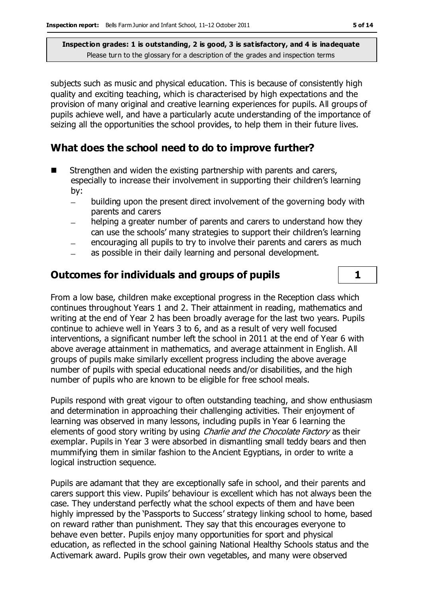subjects such as music and physical education. This is because of consistently high quality and exciting teaching, which is characterised by high expectations and the provision of many original and creative learning experiences for pupils. All groups of pupils achieve well, and have a particularly acute understanding of the importance of seizing all the opportunities the school provides, to help them in their future lives.

# **What does the school need to do to improve further?**

- Strengthen and widen the existing partnership with parents and carers, especially to increase their involvement in supporting their children's learning by:
	- building upon the present direct involvement of the governing body with parents and carers
	- helping a greater number of parents and carers to understand how they can use the schools' many strategies to support their children's learning
	- encouraging all pupils to try to involve their parents and carers as much
	- as possible in their daily learning and personal development.

# **Outcomes for individuals and groups of pupils 1**

From a low base, children make exceptional progress in the Reception class which continues throughout Years 1 and 2. Their attainment in reading, mathematics and writing at the end of Year 2 has been broadly average for the last two years. Pupils continue to achieve well in Years 3 to 6, and as a result of very well focused interventions, a significant number left the school in 2011 at the end of Year 6 with above average attainment in mathematics, and average attainment in English. All groups of pupils make similarly excellent progress including the above average number of pupils with special educational needs and/or disabilities, and the high number of pupils who are known to be eligible for free school meals.

Pupils respond with great vigour to often outstanding teaching, and show enthusiasm and determination in approaching their challenging activities. Their enjoyment of learning was observed in many lessons, including pupils in Year 6 learning the elements of good story writing by using *Charlie and the Chocolate Factory* as their exemplar. Pupils in Year 3 were absorbed in dismantling small teddy bears and then mummifying them in similar fashion to the Ancient Egyptians, in order to write a logical instruction sequence.

Pupils are adamant that they are exceptionally safe in school, and their parents and carers support this view. Pupils' behaviour is excellent which has not always been the case. They understand perfectly what the school expects of them and have been highly impressed by the 'Passports to Success' strategy linking school to home, based on reward rather than punishment. They say that this encourages everyone to behave even better. Pupils enjoy many opportunities for sport and physical education, as reflected in the school gaining National Healthy Schools status and the Activemark award. Pupils grow their own vegetables, and many were observed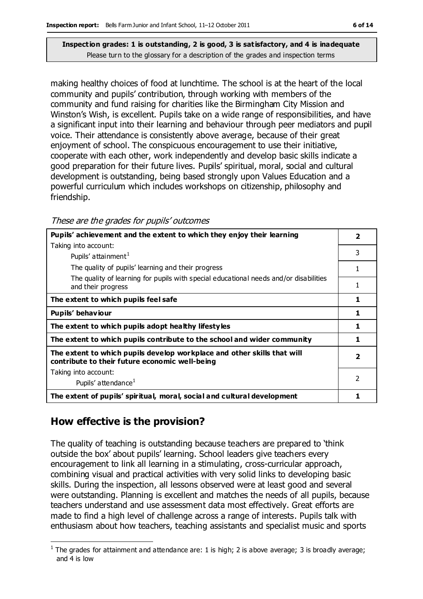making healthy choices of food at lunchtime. The school is at the heart of the local community and pupils' contribution, through working with members of the community and fund raising for charities like the Birmingham City Mission and Winston's Wish, is excellent. Pupils take on a wide range of responsibilities, and have a significant input into their learning and behaviour through peer mediators and pupil voice. Their attendance is consistently above average, because of their great enjoyment of school. The conspicuous encouragement to use their initiative, cooperate with each other, work independently and develop basic skills indicate a good preparation for their future lives. Pupils' spiritual, moral, social and cultural development is outstanding, being based strongly upon Values Education and a powerful curriculum which includes workshops on citizenship, philosophy and friendship.

| Pupils' achievement and the extent to which they enjoy their learning                                                     | $\overline{\mathbf{2}}$ |
|---------------------------------------------------------------------------------------------------------------------------|-------------------------|
| Taking into account:                                                                                                      |                         |
| Pupils' attainment <sup>1</sup>                                                                                           | 3                       |
| The quality of pupils' learning and their progress                                                                        | 1                       |
| The quality of learning for pupils with special educational needs and/or disabilities<br>and their progress               | 1                       |
| The extent to which pupils feel safe                                                                                      | 1                       |
| Pupils' behaviour                                                                                                         | 1                       |
| The extent to which pupils adopt healthy lifestyles                                                                       | 1                       |
| The extent to which pupils contribute to the school and wider community                                                   | 1                       |
| The extent to which pupils develop workplace and other skills that will<br>contribute to their future economic well-being | $\overline{\mathbf{2}}$ |
| Taking into account:                                                                                                      |                         |
| Pupils' attendance <sup>1</sup>                                                                                           | $\mathfrak{p}$          |
| The extent of pupils' spiritual, moral, social and cultural development                                                   | 1                       |

### **How effective is the provision?**

The quality of teaching is outstanding because teachers are prepared to 'think outside the box' about pupils' learning. School leaders give teachers every encouragement to link all learning in a stimulating, cross-curricular approach, combining visual and practical activities with very solid links to developing basic skills. During the inspection, all lessons observed were at least good and several were outstanding. Planning is excellent and matches the needs of all pupils, because teachers understand and use assessment data most effectively. Great efforts are made to find a high level of challenge across a range of interests. Pupils talk with enthusiasm about how teachers, teaching assistants and specialist music and sports

 $\overline{a}$ <sup>1</sup> The grades for attainment and attendance are: 1 is high; 2 is above average; 3 is broadly average; and 4 is low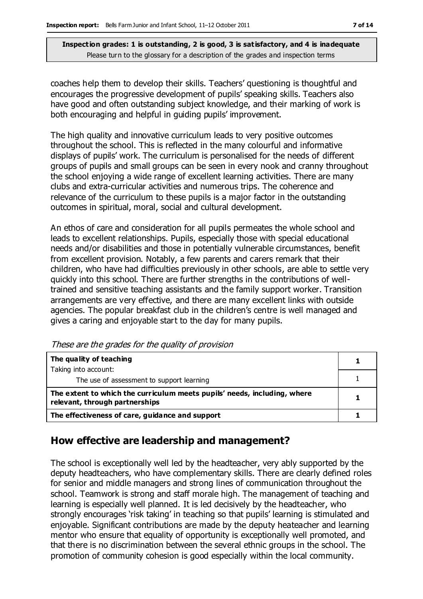coaches help them to develop their skills. Teachers' questioning is thoughtful and encourages the progressive development of pupils' speaking skills. Teachers also have good and often outstanding subject knowledge, and their marking of work is both encouraging and helpful in guiding pupils' improvement.

The high quality and innovative curriculum leads to very positive outcomes throughout the school. This is reflected in the many colourful and informative displays of pupils' work. The curriculum is personalised for the needs of different groups of pupils and small groups can be seen in every nook and cranny throughout the school enjoying a wide range of excellent learning activities. There are many clubs and extra-curricular activities and numerous trips. The coherence and relevance of the curriculum to these pupils is a major factor in the outstanding outcomes in spiritual, moral, social and cultural development.

An ethos of care and consideration for all pupils permeates the whole school and leads to excellent relationships. Pupils, especially those with special educational needs and/or disabilities and those in potentially vulnerable circumstances, benefit from excellent provision. Notably, a few parents and carers remark that their children, who have had difficulties previously in other schools, are able to settle very quickly into this school. There are further strengths in the contributions of welltrained and sensitive teaching assistants and the family support worker. Transition arrangements are very effective, and there are many excellent links with outside agencies. The popular breakfast club in the children's centre is well managed and gives a caring and enjoyable start to the day for many pupils.

**The quality of teaching** Taking into account: The use of assessment to support learning **1** 1 **The extent to which the curriculum meets pupils' needs, including, where reference to which the curriculum meets pupils needs, including, where**  $\begin{bmatrix} 1 \\ 1 \end{bmatrix}$ The effectiveness of care, guidance and support **1** 1

#### These are the grades for the quality of provision

### **How effective are leadership and management?**

The school is exceptionally well led by the headteacher, very ably supported by the deputy headteachers, who have complementary skills. There are clearly defined roles for senior and middle managers and strong lines of communication throughout the school. Teamwork is strong and staff morale high. The management of teaching and learning is especially well planned. It is led decisively by the headteacher, who strongly encourages 'risk taking' in teaching so that pupils' learning is stimulated and enjoyable. Significant contributions are made by the deputy heateacher and learning mentor who ensure that equality of opportunity is exceptionally well promoted, and that there is no discrimination between the several ethnic groups in the school. The promotion of community cohesion is good especially within the local community.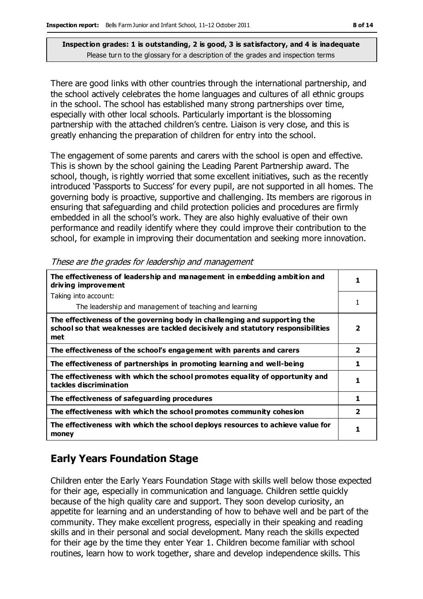There are good links with other countries through the international partnership, and the school actively celebrates the home languages and cultures of all ethnic groups in the school. The school has established many strong partnerships over time, especially with other local schools. Particularly important is the blossoming partnership with the attached children's centre. Liaison is very close, and this is greatly enhancing the preparation of children for entry into the school.

The engagement of some parents and carers with the school is open and effective. This is shown by the school gaining the Leading Parent Partnership award. The school, though, is rightly worried that some excellent initiatives, such as the recently introduced 'Passports to Success' for every pupil, are not supported in all homes. The governing body is proactive, supportive and challenging. Its members are rigorous in ensuring that safeguarding and child protection policies and procedures are firmly embedded in all the school's work. They are also highly evaluative of their own performance and readily identify where they could improve their contribution to the school, for example in improving their documentation and seeking more innovation.

| The effectiveness of leadership and management in embedding ambition and<br>driving improvement                                                                     |                         |
|---------------------------------------------------------------------------------------------------------------------------------------------------------------------|-------------------------|
| Taking into account:                                                                                                                                                |                         |
| The leadership and management of teaching and learning                                                                                                              | 1                       |
| The effectiveness of the governing body in challenging and supporting the<br>school so that weaknesses are tackled decisively and statutory responsibilities<br>met | $\overline{\mathbf{2}}$ |
| The effectiveness of the school's engagement with parents and carers                                                                                                | $\overline{\mathbf{2}}$ |
| The effectiveness of partnerships in promoting learning and well-being                                                                                              | 1                       |
| The effectiveness with which the school promotes equality of opportunity and<br>tackles discrimination                                                              | 1                       |
| The effectiveness of safeguarding procedures                                                                                                                        | 1                       |
| The effectiveness with which the school promotes community cohesion                                                                                                 | $\overline{\mathbf{2}}$ |
| The effectiveness with which the school deploys resources to achieve value for<br>money                                                                             | 1                       |

These are the grades for leadership and management

# **Early Years Foundation Stage**

Children enter the Early Years Foundation Stage with skills well below those expected for their age, especially in communication and language. Children settle quickly because of the high quality care and support. They soon develop curiosity, an appetite for learning and an understanding of how to behave well and be part of the community. They make excellent progress, especially in their speaking and reading skills and in their personal and social development. Many reach the skills expected for their age by the time they enter Year 1. Children become familiar with school routines, learn how to work together, share and develop independence skills. This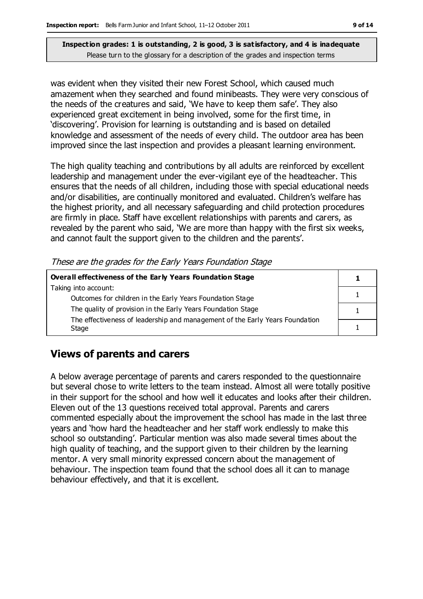was evident when they visited their new Forest School, which caused much amazement when they searched and found minibeasts. They were very conscious of the needs of the creatures and said, 'We have to keep them safe'. They also experienced great excitement in being involved, some for the first time, in 'discovering'. Provision for learning is outstanding and is based on detailed knowledge and assessment of the needs of every child. The outdoor area has been improved since the last inspection and provides a pleasant learning environment.

The high quality teaching and contributions by all adults are reinforced by excellent leadership and management under the ever-vigilant eye of the headteacher. This ensures that the needs of all children, including those with special educational needs and/or disabilities, are continually monitored and evaluated. Children's welfare has the highest priority, and all necessary safeguarding and child protection procedures are firmly in place. Staff have excellent relationships with parents and carers, as revealed by the parent who said, 'We are more than happy with the first six weeks, and cannot fault the support given to the children and the parents'.

These are the grades for the Early Years Foundation Stage

| <b>Overall effectiveness of the Early Years Foundation Stage</b>             |  |
|------------------------------------------------------------------------------|--|
| Taking into account:                                                         |  |
| Outcomes for children in the Early Years Foundation Stage                    |  |
| The quality of provision in the Early Years Foundation Stage                 |  |
| The effectiveness of leadership and management of the Early Years Foundation |  |
| Stage                                                                        |  |

# **Views of parents and carers**

A below average percentage of parents and carers responded to the questionnaire but several chose to write letters to the team instead. Almost all were totally positive in their support for the school and how well it educates and looks after their children. Eleven out of the 13 questions received total approval. Parents and carers commented especially about the improvement the school has made in the last three years and 'how hard the headteacher and her staff work endlessly to make this school so outstanding'. Particular mention was also made several times about the high quality of teaching, and the support given to their children by the learning mentor. A very small minority expressed concern about the management of behaviour. The inspection team found that the school does all it can to manage behaviour effectively, and that it is excellent.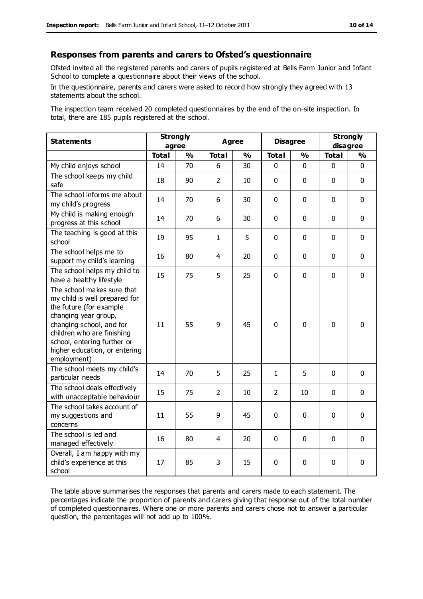### **Responses from parents and carers to Ofsted's questionnaire**

Ofsted invited all the registered parents and carers of pupils registered at Bells Farm Junior and Infant School to complete a questionnaire about their views of the school.

In the questionnaire, parents and carers were asked to record how strongly they agreed with 13 statements about the school.

The inspection team received 20 completed questionnaires by the end of the on-site inspection. In total, there are 185 pupils registered at the school.

| <b>Statements</b>                                                                                                                                                                                                                                       | <b>Strongly</b><br>agree |               | <b>Agree</b>   |               | <b>Disagree</b> |               | <b>Strongly</b><br>disagree |               |
|---------------------------------------------------------------------------------------------------------------------------------------------------------------------------------------------------------------------------------------------------------|--------------------------|---------------|----------------|---------------|-----------------|---------------|-----------------------------|---------------|
|                                                                                                                                                                                                                                                         | <b>Total</b>             | $\frac{0}{0}$ | <b>Total</b>   | $\frac{0}{0}$ | <b>Total</b>    | $\frac{0}{0}$ | <b>Total</b>                | $\frac{1}{2}$ |
| My child enjoys school                                                                                                                                                                                                                                  | 14                       | 70            | 6              | 30            | 0               | 0             | 0                           | $\Omega$      |
| The school keeps my child<br>safe                                                                                                                                                                                                                       | 18                       | 90            | $\overline{2}$ | 10            | $\mathbf 0$     | $\mathbf 0$   | $\mathbf{0}$                | $\mathbf 0$   |
| The school informs me about<br>my child's progress                                                                                                                                                                                                      | 14                       | 70            | 6              | 30            | 0               | $\mathbf 0$   | $\mathbf 0$                 | $\mathbf 0$   |
| My child is making enough<br>progress at this school                                                                                                                                                                                                    | 14                       | 70            | 6              | 30            | 0               | 0             | $\mathbf 0$                 | $\mathbf 0$   |
| The teaching is good at this<br>school                                                                                                                                                                                                                  | 19                       | 95            | $\mathbf{1}$   | 5             | 0               | $\mathbf 0$   | $\mathbf 0$                 | $\mathbf 0$   |
| The school helps me to<br>support my child's learning                                                                                                                                                                                                   | 16                       | 80            | 4              | 20            | 0               | $\mathbf 0$   | $\mathbf 0$                 | $\mathbf 0$   |
| The school helps my child to<br>have a healthy lifestyle                                                                                                                                                                                                | 15                       | 75            | 5              | 25            | $\mathbf 0$     | $\mathbf 0$   | $\mathbf 0$                 | $\mathbf 0$   |
| The school makes sure that<br>my child is well prepared for<br>the future (for example<br>changing year group,<br>changing school, and for<br>children who are finishing<br>school, entering further or<br>higher education, or entering<br>employment) | 11                       | 55            | 9              | 45            | 0               | $\mathbf 0$   | $\mathbf 0$                 | $\mathbf 0$   |
| The school meets my child's<br>particular needs                                                                                                                                                                                                         | 14                       | 70            | 5              | 25            | $\mathbf{1}$    | 5             | $\mathbf 0$                 | $\mathbf 0$   |
| The school deals effectively<br>with unacceptable behaviour                                                                                                                                                                                             | 15                       | 75            | $\overline{2}$ | 10            | $\overline{2}$  | 10            | $\mathbf 0$                 | $\mathbf 0$   |
| The school takes account of<br>my suggestions and<br>concerns                                                                                                                                                                                           | 11                       | 55            | 9              | 45            | 0               | $\mathbf 0$   | $\mathbf 0$                 | $\mathbf 0$   |
| The school is led and<br>managed effectively                                                                                                                                                                                                            | 16                       | 80            | $\overline{4}$ | 20            | $\pmb{0}$       | $\mathbf 0$   | $\mathbf 0$                 | $\mathbf 0$   |
| Overall, I am happy with my<br>child's experience at this<br>school                                                                                                                                                                                     | 17                       | 85            | 3              | 15            | 0               | $\mathbf 0$   | $\mathbf 0$                 | 0             |

The table above summarises the responses that parents and carers made to each statement. The percentages indicate the proportion of parents and carers giving that response out of the total number of completed questionnaires. Where one or more parents and carers chose not to answer a particular question, the percentages will not add up to 100%.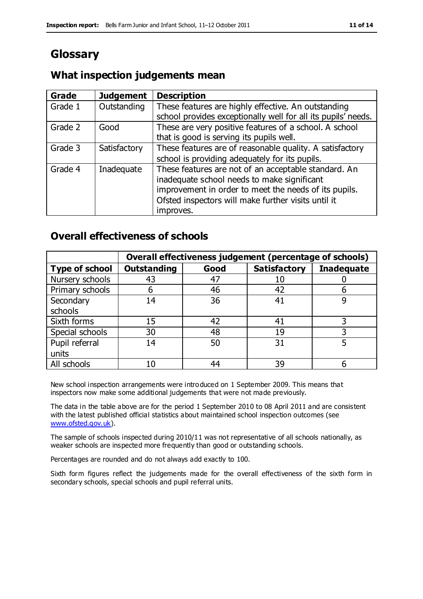# **Glossary**

### **What inspection judgements mean**

| <b>Grade</b> | <b>Judgement</b> | <b>Description</b>                                                                                                   |
|--------------|------------------|----------------------------------------------------------------------------------------------------------------------|
| Grade 1      | Outstanding      | These features are highly effective. An outstanding<br>school provides exceptionally well for all its pupils' needs. |
|              |                  |                                                                                                                      |
| Grade 2      | Good             | These are very positive features of a school. A school                                                               |
|              |                  | that is good is serving its pupils well.                                                                             |
| Grade 3      | Satisfactory     | These features are of reasonable quality. A satisfactory                                                             |
|              |                  | school is providing adequately for its pupils.                                                                       |
| Grade 4      | Inadequate       | These features are not of an acceptable standard. An<br>inadequate school needs to make significant                  |
|              |                  | improvement in order to meet the needs of its pupils.                                                                |
|              |                  | Ofsted inspectors will make further visits until it                                                                  |
|              |                  | improves.                                                                                                            |

### **Overall effectiveness of schools**

|                       |                    |      | Overall effectiveness judgement (percentage of schools) |                   |
|-----------------------|--------------------|------|---------------------------------------------------------|-------------------|
| <b>Type of school</b> | <b>Outstanding</b> | Good | <b>Satisfactory</b>                                     | <b>Inadequate</b> |
| Nursery schools       | 43                 | 47   | 10                                                      |                   |
| Primary schools       | h                  | 46   | 42                                                      |                   |
| Secondary             | 14                 | 36   | 41                                                      |                   |
| schools               |                    |      |                                                         |                   |
| Sixth forms           | 15                 | 42   | 41                                                      |                   |
| Special schools       | 30                 | 48   | 19                                                      |                   |
| Pupil referral        | 14                 | 50   | 31                                                      |                   |
| units                 |                    |      |                                                         |                   |
| All schools           | 10                 | 44   | 39                                                      |                   |

New school inspection arrangements were introduced on 1 September 2009. This means that inspectors now make some additional judgements that were not made previously.

The data in the table above are for the period 1 September 2010 to 08 April 2011 and are consistent with the latest published official statistics about maintained school inspection outcomes (see [www.ofsted.gov.uk\)](http://www.ofsted.gov.uk/).

The sample of schools inspected during 2010/11 was not representative of all schools nationally, as weaker schools are inspected more frequently than good or outstanding schools.

Percentages are rounded and do not always add exactly to 100.

Sixth form figures reflect the judgements made for the overall effectiveness of the sixth form in secondary schools, special schools and pupil referral units.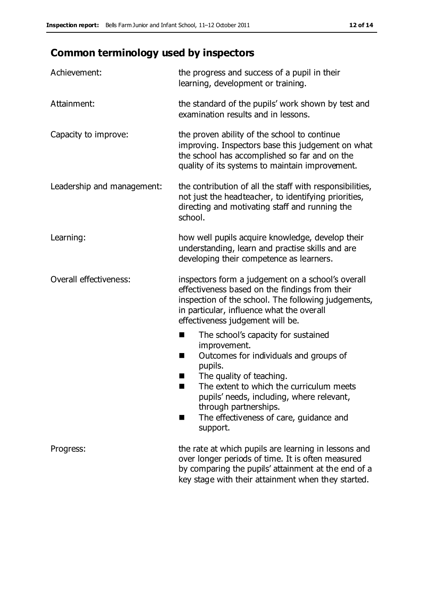# **Common terminology used by inspectors**

| Achievement:                  | the progress and success of a pupil in their<br>learning, development or training.                                                                                                                                                                                                                                           |
|-------------------------------|------------------------------------------------------------------------------------------------------------------------------------------------------------------------------------------------------------------------------------------------------------------------------------------------------------------------------|
| Attainment:                   | the standard of the pupils' work shown by test and<br>examination results and in lessons.                                                                                                                                                                                                                                    |
| Capacity to improve:          | the proven ability of the school to continue<br>improving. Inspectors base this judgement on what<br>the school has accomplished so far and on the<br>quality of its systems to maintain improvement.                                                                                                                        |
| Leadership and management:    | the contribution of all the staff with responsibilities,<br>not just the headteacher, to identifying priorities,<br>directing and motivating staff and running the<br>school.                                                                                                                                                |
| Learning:                     | how well pupils acquire knowledge, develop their<br>understanding, learn and practise skills and are<br>developing their competence as learners.                                                                                                                                                                             |
| <b>Overall effectiveness:</b> | inspectors form a judgement on a school's overall<br>effectiveness based on the findings from their<br>inspection of the school. The following judgements,<br>in particular, influence what the overall<br>effectiveness judgement will be.                                                                                  |
|                               | The school's capacity for sustained<br>■<br>improvement.<br>Outcomes for individuals and groups of<br>H<br>pupils.<br>The quality of teaching.<br>The extent to which the curriculum meets<br>pupils' needs, including, where relevant,<br>through partnerships.<br>The effectiveness of care, guidance and<br>٠<br>support. |
| Progress:                     | the rate at which pupils are learning in lessons and<br>over longer periods of time. It is often measured<br>by comparing the pupils' attainment at the end of a<br>key stage with their attainment when they started.                                                                                                       |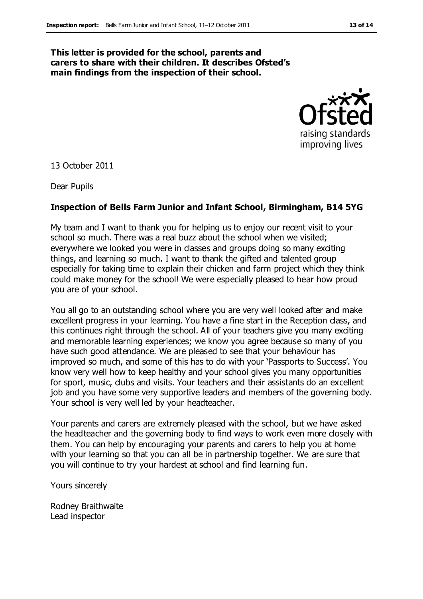### **This letter is provided for the school, parents and carers to share with their children. It describes Ofsted's main findings from the inspection of their school.**



13 October 2011

Dear Pupils

### **Inspection of Bells Farm Junior and Infant School, Birmingham, B14 5YG**

My team and I want to thank you for helping us to enjoy our recent visit to your school so much. There was a real buzz about the school when we visited; everywhere we looked you were in classes and groups doing so many exciting things, and learning so much. I want to thank the gifted and talented group especially for taking time to explain their chicken and farm project which they think could make money for the school! We were especially pleased to hear how proud you are of your school.

You all go to an outstanding school where you are very well looked after and make excellent progress in your learning. You have a fine start in the Reception class, and this continues right through the school. All of your teachers give you many exciting and memorable learning experiences; we know you agree because so many of you have such good attendance. We are pleased to see that your behaviour has improved so much, and some of this has to do with your 'Passports to Success'. You know very well how to keep healthy and your school gives you many opportunities for sport, music, clubs and visits. Your teachers and their assistants do an excellent job and you have some very supportive leaders and members of the governing body. Your school is very well led by your headteacher.

Your parents and carers are extremely pleased with the school, but we have asked the headteacher and the governing body to find ways to work even more closely with them. You can help by encouraging your parents and carers to help you at home with your learning so that you can all be in partnership together. We are sure that you will continue to try your hardest at school and find learning fun.

Yours sincerely

Rodney Braithwaite Lead inspector